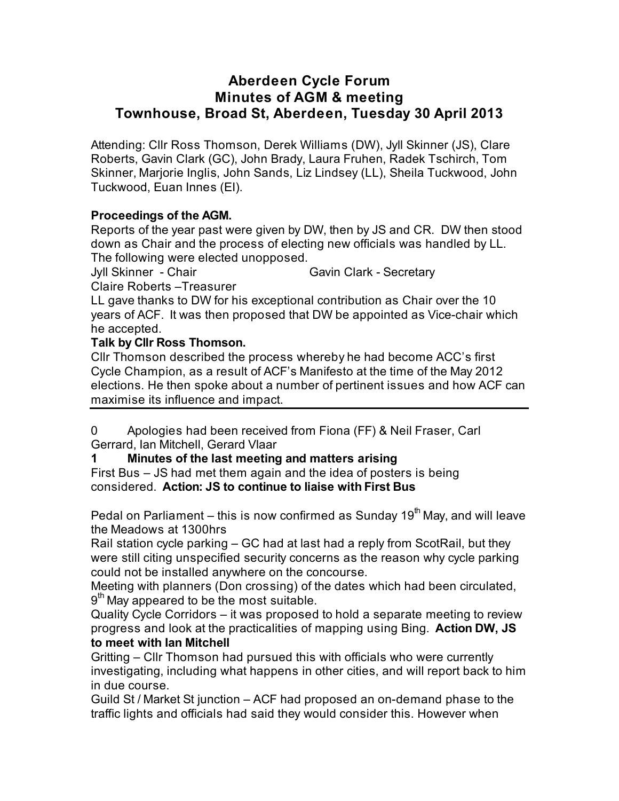## **Aberdeen Cycle Forum Minutes of AGM & meeting Townhouse, Broad St, Aberdeen, Tuesday 30 April 2013**

Attending: Cllr Ross Thomson, Derek Williams (DW), Jyll Skinner (JS), Clare Roberts, Gavin Clark (GC), John Brady, Laura Fruhen, Radek Tschirch, Tom Skinner, Marjorie Inglis, John Sands, Liz Lindsey (LL), Sheila Tuckwood, John Tuckwood, Euan Innes (EI).

## **Proceedings of the AGM.**

Reports of the year past were given by DW, then by JS and CR. DW then stood down as Chair and the process of electing new officials was handled by LL. The following were elected unopposed.

Jyll Skinner - Chair Gavin Clark - Secretary

Claire Roberts –Treasurer

LL gave thanks to DW for his exceptional contribution as Chair over the 10 years of ACF. It was then proposed that DW be appointed as Vice-chair which he accepted.

## **Talk by Cllr Ross Thomson.**

Cllr Thomson described the process whereby he had become ACC's first Cycle Champion, as a result of ACF's Manifesto at the time of the May 2012 elections. He then spoke about a number of pertinent issues and how ACF can maximise its influence and impact.

0 Apologies had been received from Fiona (FF) & Neil Fraser, Carl Gerrard, Ian Mitchell, Gerard Vlaar

## **1 Minutes of the last meeting and matters arising**

First Bus – JS had met them again and the idea of posters is being considered. **Action: JS to continue to liaise with First Bus**

Pedal on Parliament – this is now confirmed as Sunday  $19<sup>th</sup>$  May, and will leave the Meadows at 1300hrs

Rail station cycle parking – GC had at last had a reply from ScotRail, but they were still citing unspecified security concerns as the reason why cycle parking could not be installed anywhere on the concourse.

Meeting with planners (Don crossing) of the dates which had been circulated,  $9<sup>th</sup>$  May appeared to be the most suitable.

Quality Cycle Corridors – it was proposed to hold a separate meeting to review progress and look at the practicalities of mapping using Bing. **Action DW, JS to meet with Ian Mitchell** 

Gritting – Cllr Thomson had pursued this with officials who were currently investigating, including what happens in other cities, and will report back to him in due course.

Guild St / Market St junction – ACF had proposed an on-demand phase to the traffic lights and officials had said they would consider this. However when